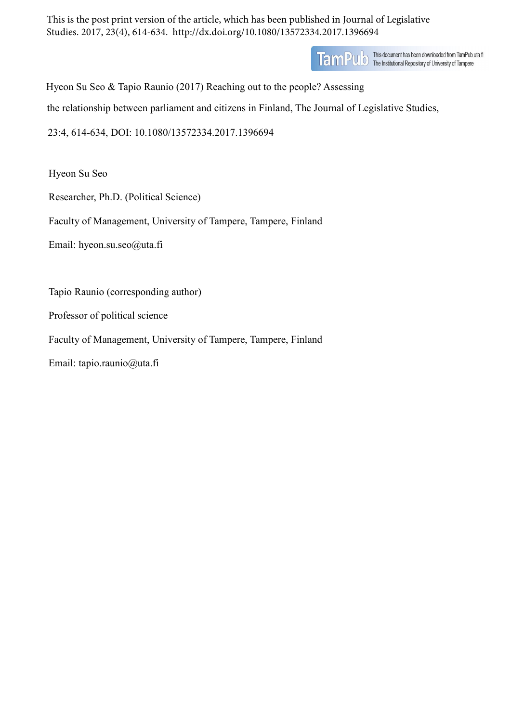This is the post print version of the article, which has been published in Journal of Legislative Studies. 2017, 23(4), 614-634. http://dx.doi.org/10.1080/13572334.2017.1396694

TamPUD This document has been downloaded from TamPub.uta.fi<br>TamPUD The Institutional Repository of University of Tampere

Hyeon Su Seo & Tapio Raunio (2017) Reaching out to the people? Assessing

the relationship between parliament and citizens in Finland, The Journal of Legislative Studies,

23:4, 614-634, DOI: 10.1080/13572334.2017.1396694

Hyeon Su Seo

Researcher, Ph.D. (Political Science)

Faculty of Management, University of Tampere, Tampere, Finland

Email: hyeon.su.seo@uta.fi

Tapio Raunio (corresponding author)

Professor of political science

Faculty of Management, University of Tampere, Tampere, Finland

Email: tapio.raunio@uta.fi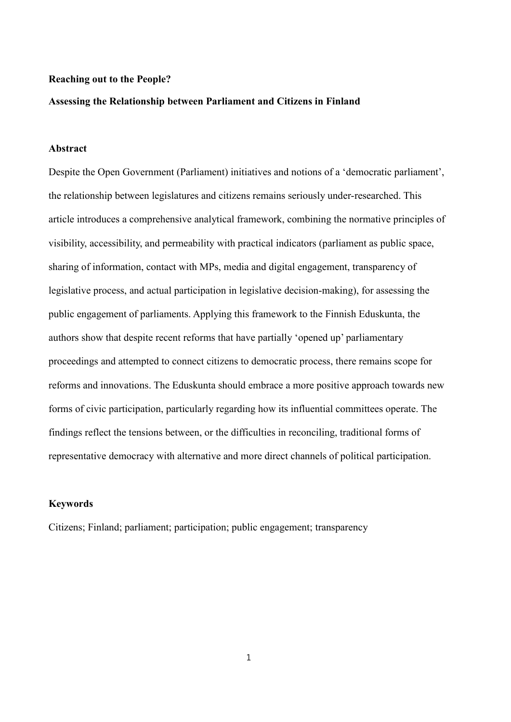### **Reaching out to the People?**

### **Assessing the Relationship between Parliament and Citizens in Finland**

## **Abstract**

Despite the Open Government (Parliament) initiatives and notions of a 'democratic parliament', the relationship between legislatures and citizens remains seriously under-researched. This article introduces a comprehensive analytical framework, combining the normative principles of visibility, accessibility, and permeability with practical indicators (parliament as public space, sharing of information, contact with MPs, media and digital engagement, transparency of legislative process, and actual participation in legislative decision-making), for assessing the public engagement of parliaments. Applying this framework to the Finnish Eduskunta, the authors show that despite recent reforms that have partially 'opened up' parliamentary proceedings and attempted to connect citizens to democratic process, there remains scope for reforms and innovations. The Eduskunta should embrace a more positive approach towards new forms of civic participation, particularly regarding how its influential committees operate. The findings reflect the tensions between, or the difficulties in reconciling, traditional forms of representative democracy with alternative and more direct channels of political participation.

### **Keywords**

Citizens; Finland; parliament; participation; public engagement; transparency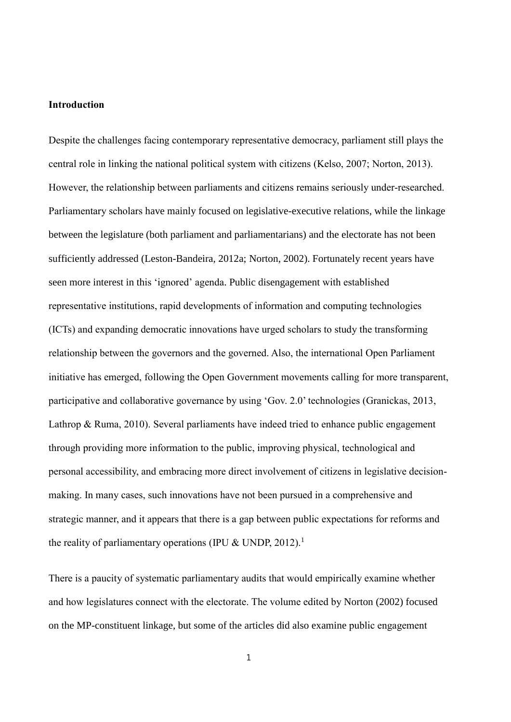## **Introduction**

Despite the challenges facing contemporary representative democracy, parliament still plays the central role in linking the national political system with citizens (Kelso, 2007; Norton, 2013). However, the relationship between parliaments and citizens remains seriously under-researched. Parliamentary scholars have mainly focused on legislative-executive relations, while the linkage between the legislature (both parliament and parliamentarians) and the electorate has not been sufficiently addressed (Leston-Bandeira, 2012a; Norton, 2002). Fortunately recent years have seen more interest in this 'ignored' agenda. Public disengagement with established representative institutions, rapid developments of information and computing technologies (ICTs) and expanding democratic innovations have urged scholars to study the transforming relationship between the governors and the governed. Also, the international Open Parliament initiative has emerged, following the Open Government movements calling for more transparent, participative and collaborative governance by using 'Gov. 2.0' technologies (Granickas, 2013, Lathrop & Ruma, 2010). Several parliaments have indeed tried to enhance public engagement through providing more information to the public, improving physical, technological and personal accessibility, and embracing more direct involvement of citizens in legislative decisionmaking. In many cases, such innovations have not been pursued in a comprehensive and strategic manner, and it appears that there is a gap between public expectations for reforms and the reality of parliamentary operations (IPU  $&$  UNDP, 2012).<sup>1</sup>

There is a paucity of systematic parliamentary audits that would empirically examine whether and how legislatures connect with the electorate. The volume edited by Norton (2002) focused on the MP-constituent linkage, but some of the articles did also examine public engagement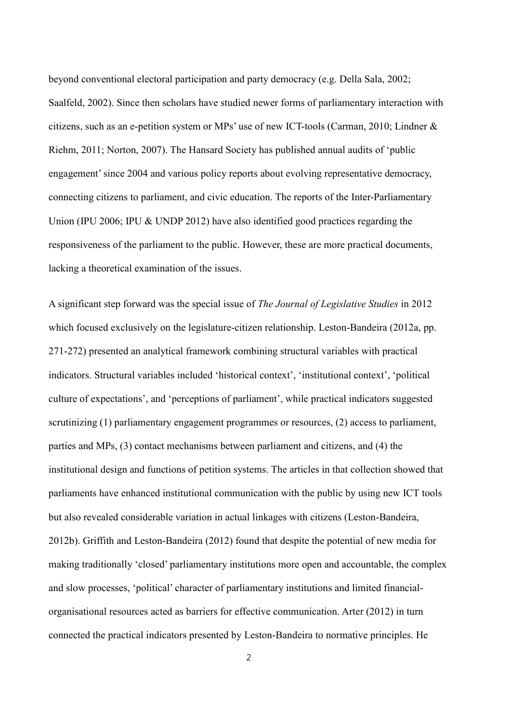beyond conventional electoral participation and party democracy (e.g. Della Sala, 2002; Saalfeld, 2002). Since then scholars have studied newer forms of parliamentary interaction with citizens, such as an e-petition system or MPs' use of new ICT-tools (Carman, 2010; Lindner & Riehm, 2011; Norton, 2007). The Hansard Society has published annual audits of 'public engagement' since 2004 and various policy reports about evolving representative democracy, connecting citizens to parliament, and civic education. The reports of the Inter-Parliamentary Union (IPU 2006; IPU & UNDP 2012) have also identified good practices regarding the responsiveness of the parliament to the public. However, these are more practical documents, lacking a theoretical examination of the issues.

A significant step forward was the special issue of *The Journal of Legislative Studies* in 2012 which focused exclusively on the legislature-citizen relationship. Leston-Bandeira (2012a, pp. 271-272) presented an analytical framework combining structural variables with practical indicators. Structural variables included 'historical context', 'institutional context', 'political culture of expectations', and 'perceptions of parliament', while practical indicators suggested scrutinizing (1) parliamentary engagement programmes or resources, (2) access to parliament, parties and MPs, (3) contact mechanisms between parliament and citizens, and (4) the institutional design and functions of petition systems. The articles in that collection showed that parliaments have enhanced institutional communication with the public by using new ICT tools but also revealed considerable variation in actual linkages with citizens (Leston-Bandeira, 2012b). Griffith and Leston-Bandeira (2012) found that despite the potential of new media for making traditionally 'closed' parliamentary institutions more open and accountable, the complex and slow processes, 'political' character of parliamentary institutions and limited financialorganisational resources acted as barriers for effective communication. Arter (2012) in turn connected the practical indicators presented by Leston-Bandeira to normative principles. He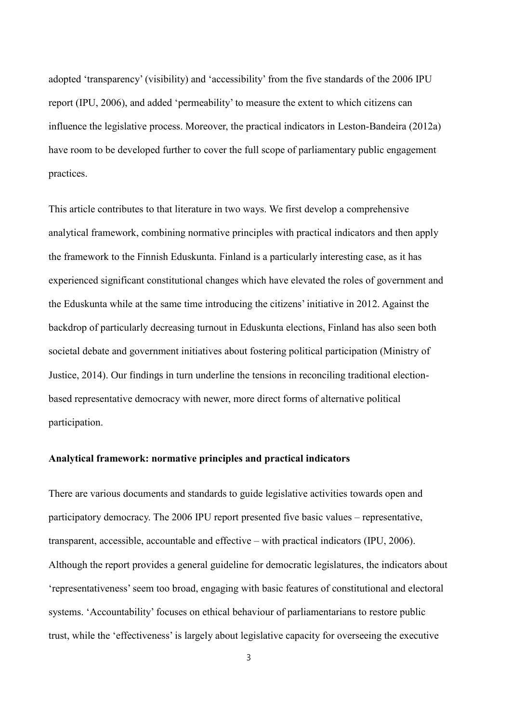adopted 'transparency' (visibility) and 'accessibility' from the five standards of the 2006 IPU report (IPU, 2006), and added 'permeability' to measure the extent to which citizens can influence the legislative process. Moreover, the practical indicators in Leston-Bandeira (2012a) have room to be developed further to cover the full scope of parliamentary public engagement practices.

This article contributes to that literature in two ways. We first develop a comprehensive analytical framework, combining normative principles with practical indicators and then apply the framework to the Finnish Eduskunta. Finland is a particularly interesting case, as it has experienced significant constitutional changes which have elevated the roles of government and the Eduskunta while at the same time introducing the citizens' initiative in 2012. Against the backdrop of particularly decreasing turnout in Eduskunta elections, Finland has also seen both societal debate and government initiatives about fostering political participation (Ministry of Justice, 2014). Our findings in turn underline the tensions in reconciling traditional electionbased representative democracy with newer, more direct forms of alternative political participation.

### **Analytical framework: normative principles and practical indicators**

There are various documents and standards to guide legislative activities towards open and participatory democracy. The 2006 IPU report presented five basic values – representative, transparent, accessible, accountable and effective – with practical indicators (IPU, 2006). Although the report provides a general guideline for democratic legislatures, the indicators about 'representativeness'seem too broad, engaging with basic features of constitutional and electoral systems. 'Accountability' focuses on ethical behaviour of parliamentarians to restore public trust, while the 'effectiveness' is largely about legislative capacity for overseeing the executive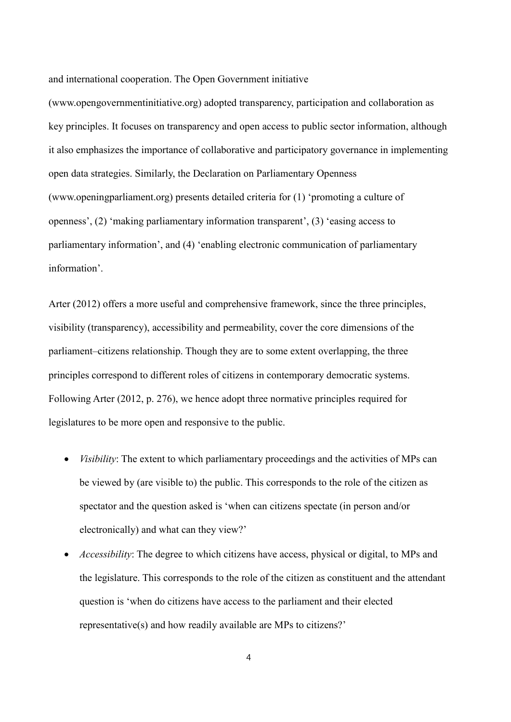and international cooperation. The Open Government initiative

(www.opengovernmentinitiative.org) adopted transparency, participation and collaboration as key principles. It focuses on transparency and open access to public sector information, although it also emphasizes the importance of collaborative and participatory governance in implementing open data strategies. Similarly, the Declaration on Parliamentary Openness (www.openingparliament.org) presents detailed criteria for (1) 'promoting a culture of openness', (2) 'making parliamentary information transparent', (3) 'easing access to parliamentary information', and (4) 'enabling electronic communication of parliamentary information'.

Arter (2012) offers a more useful and comprehensive framework, since the three principles, visibility (transparency), accessibility and permeability, cover the core dimensions of the parliament–citizens relationship. Though they are to some extent overlapping, the three principles correspond to different roles of citizens in contemporary democratic systems. Following Arter (2012, p. 276), we hence adopt three normative principles required for legislatures to be more open and responsive to the public.

- *Visibility*: The extent to which parliamentary proceedings and the activities of MPs can be viewed by (are visible to) the public. This corresponds to the role of the citizen as spectator and the question asked is 'when can citizens spectate (in person and/or electronically) and what can they view?'
- *Accessibility*: The degree to which citizens have access, physical or digital, to MPs and the legislature. This corresponds to the role of the citizen as constituent and the attendant question is 'when do citizens have access to the parliament and their elected representative(s) and how readily available are MPs to citizens?'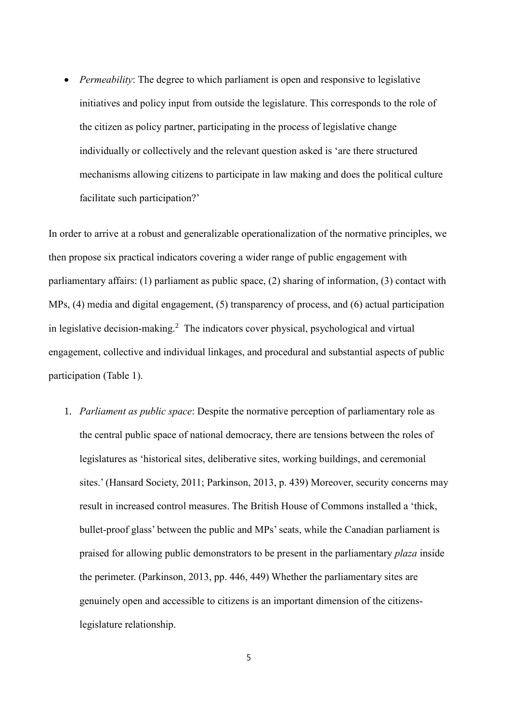*Permeability*: The degree to which parliament is open and responsive to legislative initiatives and policy input from outside the legislature. This corresponds to the role of the citizen as policy partner, participating in the process of legislative change individually or collectively and the relevant question asked is 'are there structured mechanisms allowing citizens to participate in law making and does the political culture facilitate such participation?'

In order to arrive at a robust and generalizable operationalization of the normative principles, we then propose six practical indicators covering a wider range of public engagement with parliamentary affairs: (1) parliament as public space, (2) sharing of information, (3) contact with MPs, (4) media and digital engagement, (5) transparency of process, and (6) actual participation in legislative decision-making.<sup>2</sup> The indicators cover physical, psychological and virtual engagement, collective and individual linkages, and procedural and substantial aspects of public participation (Table 1).

1. *Parliament as public space*: Despite the normative perception of parliamentary role as the central public space of national democracy, there are tensions between the roles of legislatures as 'historical sites, deliberative sites, working buildings, and ceremonial sites.' (Hansard Society, 2011; Parkinson, 2013, p. 439) Moreover, security concerns may result in increased control measures. The British House of Commons installed a 'thick, bullet-proof glass' between the public and MPs'seats, while the Canadian parliament is praised for allowing public demonstrators to be present in the parliamentary *plaza* inside the perimeter. (Parkinson, 2013, pp. 446, 449) Whether the parliamentary sites are genuinely open and accessible to citizens is an important dimension of the citizenslegislature relationship.

5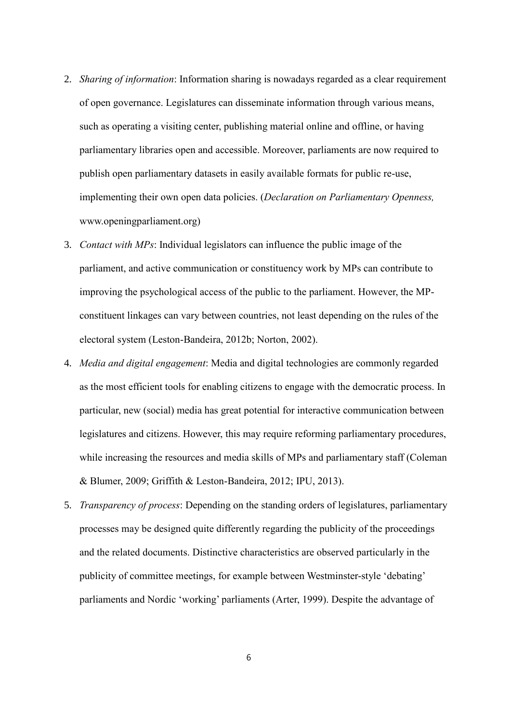- 2. *Sharing of information*: Information sharing is nowadays regarded as a clear requirement of open governance. Legislatures can disseminate information through various means, such as operating a visiting center, publishing material online and offline, or having parliamentary libraries open and accessible. Moreover, parliaments are now required to publish open parliamentary datasets in easily available formats for public re-use, implementing their own open data policies. (*Declaration on Parliamentary Openness,*  www.openingparliament.org)
- 3. *Contact with MPs*: Individual legislators can influence the public image of the parliament, and active communication or constituency work by MPs can contribute to improving the psychological access of the public to the parliament. However, the MPconstituent linkages can vary between countries, not least depending on the rules of the electoral system (Leston-Bandeira, 2012b; Norton, 2002).
- 4. *Media and digital engagement*: Media and digital technologies are commonly regarded as the most efficient tools for enabling citizens to engage with the democratic process. In particular, new (social) media has great potential for interactive communication between legislatures and citizens. However, this may require reforming parliamentary procedures, while increasing the resources and media skills of MPs and parliamentary staff (Coleman & Blumer, 2009; Griffith & Leston-Bandeira, 2012; IPU, 2013).
- 5. *Transparency of process*: Depending on the standing orders of legislatures, parliamentary processes may be designed quite differently regarding the publicity of the proceedings and the related documents. Distinctive characteristics are observed particularly in the publicity of committee meetings, for example between Westminster-style 'debating' parliaments and Nordic 'working' parliaments (Arter, 1999). Despite the advantage of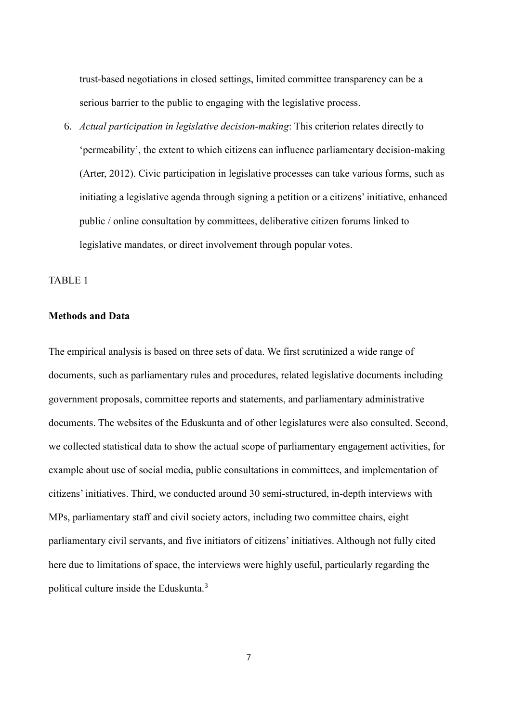trust-based negotiations in closed settings, limited committee transparency can be a serious barrier to the public to engaging with the legislative process.

6. *Actual participation in legislative decision-making*: This criterion relates directly to 'permeability', the extent to which citizens can influence parliamentary decision-making (Arter, 2012). Civic participation in legislative processes can take various forms, such as initiating a legislative agenda through signing a petition or a citizens' initiative, enhanced public / online consultation by committees, deliberative citizen forums linked to legislative mandates, or direct involvement through popular votes.

# TABLE 1

## **Methods and Data**

The empirical analysis is based on three sets of data. We first scrutinized a wide range of documents, such as parliamentary rules and procedures, related legislative documents including government proposals, committee reports and statements, and parliamentary administrative documents. The websites of the Eduskunta and of other legislatures were also consulted. Second, we collected statistical data to show the actual scope of parliamentary engagement activities, for example about use of social media, public consultations in committees, and implementation of citizens' initiatives. Third, we conducted around 30 semi-structured, in-depth interviews with MPs, parliamentary staff and civil society actors, including two committee chairs, eight parliamentary civil servants, and five initiators of citizens' initiatives. Although not fully cited here due to limitations of space, the interviews were highly useful, particularly regarding the political culture inside the Eduskunta.<sup>3</sup>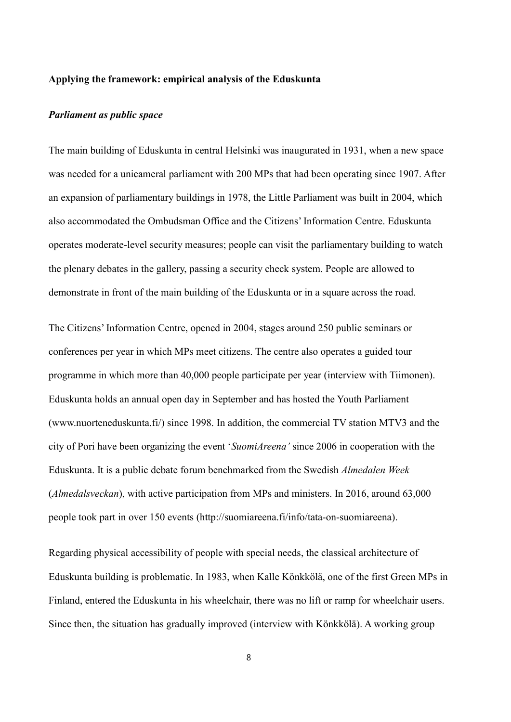### **Applying the framework: empirical analysis of the Eduskunta**

#### *Parliament as public space*

The main building of Eduskunta in central Helsinki was inaugurated in 1931, when a new space was needed for a unicameral parliament with 200 MPs that had been operating since 1907. After an expansion of parliamentary buildings in 1978, the Little Parliament was built in 2004, which also accommodated the Ombudsman Office and the Citizens' Information Centre. Eduskunta operates moderate-level security measures; people can visit the parliamentary building to watch the plenary debates in the gallery, passing a security check system. People are allowed to demonstrate in front of the main building of the Eduskunta or in a square across the road.

The Citizens' Information Centre, opened in 2004, stages around 250 public seminars or conferences per year in which MPs meet citizens. The centre also operates a guided tour programme in which more than 40,000 people participate per year (interview with Tiimonen). Eduskunta holds an annual open day in September and has hosted the Youth Parliament (www.nuorteneduskunta.fi/) since 1998. In addition, the commercial TV station MTV3 and the city of Pori have been organizing the event '*SuomiAreena'* since 2006 in cooperation with the Eduskunta. It is a public debate forum benchmarked from the Swedish *Almedalen Week* (*Almedalsveckan*), with active participation from MPs and ministers. In 2016, around 63,000 people took part in over 150 events (http://suomiareena.fi/info/tata-on-suomiareena).

Regarding physical accessibility of people with special needs, the classical architecture of Eduskunta building is problematic. In 1983, when Kalle Könkkölä, one of the first Green MPs in Finland, entered the Eduskunta in his wheelchair, there was no lift or ramp for wheelchair users. Since then, the situation has gradually improved (interview with Könkkölä). A working group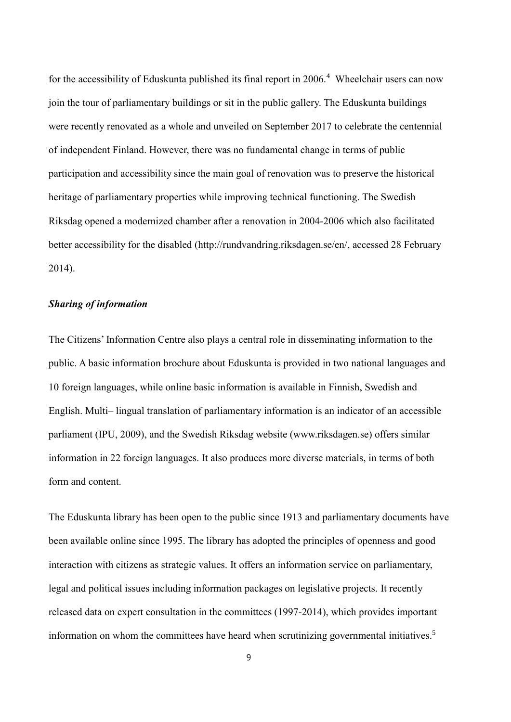for the accessibility of Eduskunta published its final report in 2006.<sup>4</sup> Wheelchair users can now join the tour of parliamentary buildings or sit in the public gallery. The Eduskunta buildings were recently renovated as a whole and unveiled on September 2017 to celebrate the centennial of independent Finland. However, there was no fundamental change in terms of public participation and accessibility since the main goal of renovation was to preserve the historical heritage of parliamentary properties while improving technical functioning. The Swedish Riksdag opened a modernized chamber after a renovation in 2004-2006 which also facilitated better accessibility for the disabled (http://rundvandring.riksdagen.se/en/, accessed 28 February 2014).

### *Sharing of information*

The Citizens' Information Centre also plays a central role in disseminating information to the public. A basic information brochure about Eduskunta is provided in two national languages and 10 foreign languages, while online basic information is available in Finnish, Swedish and English. Multi– lingual translation of parliamentary information is an indicator of an accessible parliament (IPU, 2009), and the Swedish Riksdag website (www.riksdagen.se) offers similar information in 22 foreign languages. It also produces more diverse materials, in terms of both form and content.

The Eduskunta library has been open to the public since 1913 and parliamentary documents have been available online since 1995. The library has adopted the principles of openness and good interaction with citizens as strategic values. It offers an information service on parliamentary, legal and political issues including information packages on legislative projects. It recently released data on expert consultation in the committees (1997-2014), which provides important information on whom the committees have heard when scrutinizing governmental initiatives. 5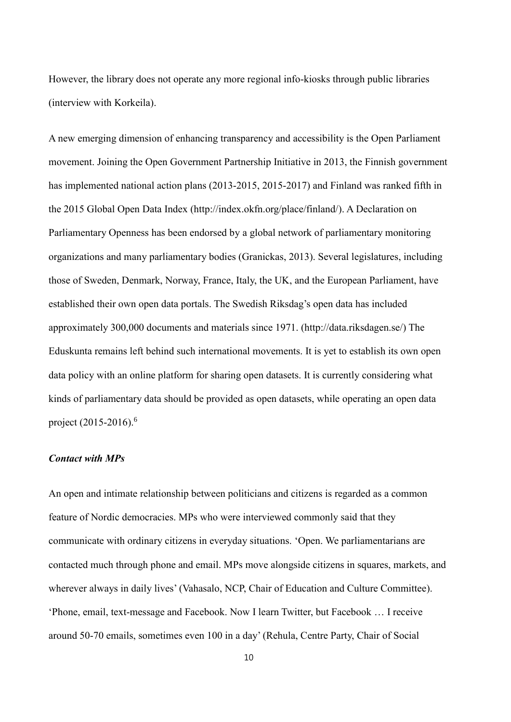However, the library does not operate any more regional info-kiosks through public libraries (interview with Korkeila).

A new emerging dimension of enhancing transparency and accessibility is the Open Parliament movement. Joining the Open Government Partnership Initiative in 2013, the Finnish government has implemented national action plans (2013-2015, 2015-2017) and Finland was ranked fifth in the 2015 Global Open Data Index (http://index.okfn.org/place/finland/). A Declaration on Parliamentary Openness has been endorsed by a global network of parliamentary monitoring organizations and many parliamentary bodies (Granickas, 2013). Several legislatures, including those of Sweden, Denmark, Norway, France, Italy, the UK, and the European Parliament, have established their own open data portals. The Swedish Riksdag's open data has included approximately 300,000 documents and materials since 1971. (http://data.riksdagen.se/) The Eduskunta remains left behind such international movements. It is yet to establish its own open data policy with an online platform for sharing open datasets. It is currently considering what kinds of parliamentary data should be provided as open datasets, while operating an open data project (2015-2016).<sup>6</sup>

### *Contact with MPs*

An open and intimate relationship between politicians and citizens is regarded as a common feature of Nordic democracies. MPs who were interviewed commonly said that they communicate with ordinary citizens in everyday situations. 'Open. We parliamentarians are contacted much through phone and email. MPs move alongside citizens in squares, markets, and wherever always in daily lives' (Vahasalo, NCP, Chair of Education and Culture Committee). 'Phone, email, text-message and Facebook. Now I learn Twitter, but Facebook … I receive around 50-70 emails, sometimes even 100 in a day' (Rehula, Centre Party, Chair of Social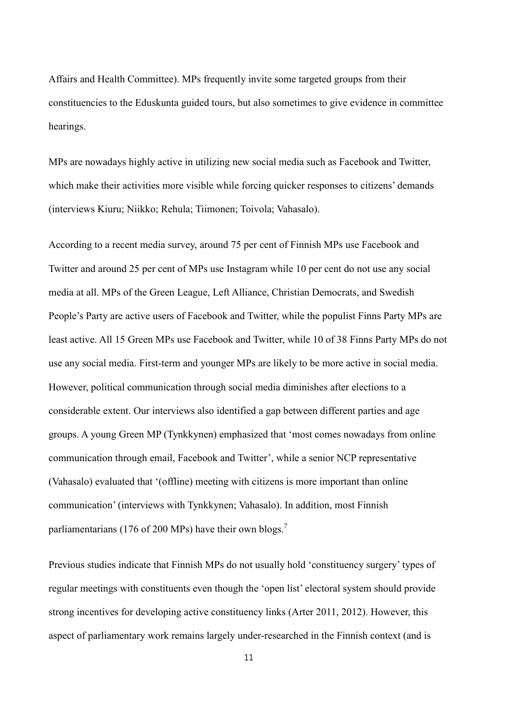Affairs and Health Committee). MPs frequently invite some targeted groups from their constituencies to the Eduskunta guided tours, but also sometimes to give evidence in committee hearings.

MPs are nowadays highly active in utilizing new social media such as Facebook and Twitter, which make their activities more visible while forcing quicker responses to citizens' demands (interviews Kiuru; Niikko; Rehula; Tiimonen; Toivola; Vahasalo).

According to a recent media survey, around 75 per cent of Finnish MPs use Facebook and Twitter and around 25 per cent of MPs use Instagram while 10 per cent do not use any social media at all. MPs of the Green League, Left Alliance, Christian Democrats, and Swedish People's Party are active users of Facebook and Twitter, while the populist Finns Party MPs are least active. All 15 Green MPs use Facebook and Twitter, while 10 of 38 Finns Party MPs do not use any social media. First-term and younger MPs are likely to be more active in social media. However, political communication through social media diminishes after elections to a considerable extent. Our interviews also identified a gap between different parties and age groups. A young Green MP (Tynkkynen) emphasized that 'most comes nowadays from online communication through email, Facebook and Twitter', while a senior NCP representative (Vahasalo) evaluated that '(offline) meeting with citizens is more important than online communication' (interviews with Tynkkynen; Vahasalo). In addition, most Finnish parliamentarians (176 of 200 MPs) have their own blogs.<sup>7</sup>

Previous studies indicate that Finnish MPs do not usually hold 'constituency surgery' types of regular meetings with constituents even though the 'open list' electoral system should provide strong incentives for developing active constituency links (Arter 2011, 2012). However, this aspect of parliamentary work remains largely under-researched in the Finnish context (and is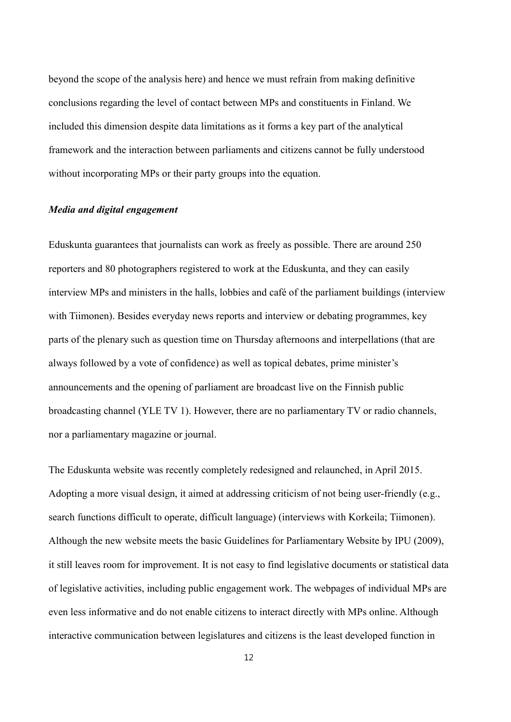beyond the scope of the analysis here) and hence we must refrain from making definitive conclusions regarding the level of contact between MPs and constituents in Finland. We included this dimension despite data limitations as it forms a key part of the analytical framework and the interaction between parliaments and citizens cannot be fully understood without incorporating MPs or their party groups into the equation.

### *Media and digital engagement*

Eduskunta guarantees that journalists can work as freely as possible. There are around 250 reporters and 80 photographers registered to work at the Eduskunta, and they can easily interview MPs and ministers in the halls, lobbies and café of the parliament buildings (interview with Tiimonen). Besides everyday news reports and interview or debating programmes, key parts of the plenary such as question time on Thursday afternoons and interpellations (that are always followed by a vote of confidence) as well as topical debates, prime minister's announcements and the opening of parliament are broadcast live on the Finnish public broadcasting channel (YLE TV 1). However, there are no parliamentary TV or radio channels, nor a parliamentary magazine or journal.

The Eduskunta website was recently completely redesigned and relaunched, in April 2015. Adopting a more visual design, it aimed at addressing criticism of not being user-friendly (e.g., search functions difficult to operate, difficult language) (interviews with Korkeila; Tiimonen). Although the new website meets the basic Guidelines for Parliamentary Website by IPU (2009), it still leaves room for improvement. It is not easy to find legislative documents or statistical data of legislative activities, including public engagement work. The webpages of individual MPs are even less informative and do not enable citizens to interact directly with MPs online. Although interactive communication between legislatures and citizens is the least developed function in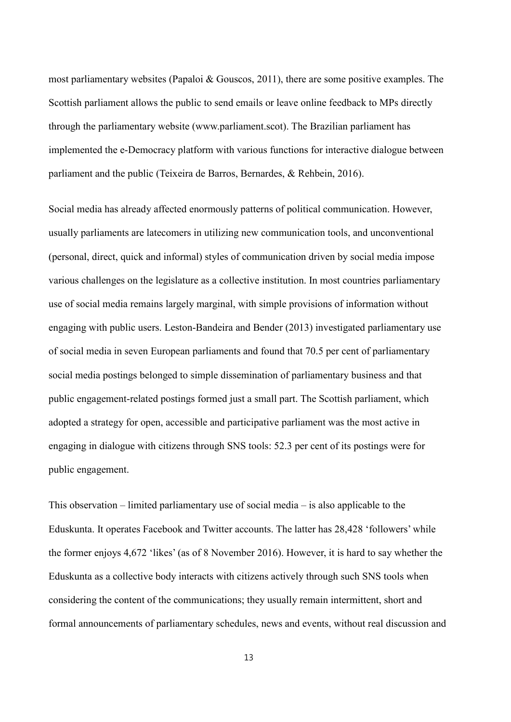most parliamentary websites (Papaloi & Gouscos, 2011), there are some positive examples. The Scottish parliament allows the public to send emails or leave online feedback to MPs directly through the parliamentary website (www.parliament.scot). The Brazilian parliament has implemented the e-Democracy platform with various functions for interactive dialogue between parliament and the public (Teixeira de Barros, Bernardes, & Rehbein, 2016).

Social media has already affected enormously patterns of political communication. However, usually parliaments are latecomers in utilizing new communication tools, and unconventional (personal, direct, quick and informal) styles of communication driven by social media impose various challenges on the legislature as a collective institution. In most countries parliamentary use of social media remains largely marginal, with simple provisions of information without engaging with public users. Leston-Bandeira and Bender (2013) investigated parliamentary use of social media in seven European parliaments and found that 70.5 per cent of parliamentary social media postings belonged to simple dissemination of parliamentary business and that public engagement-related postings formed just a small part. The Scottish parliament, which adopted a strategy for open, accessible and participative parliament was the most active in engaging in dialogue with citizens through SNS tools: 52.3 per cent of its postings were for public engagement.

This observation – limited parliamentary use of social media – is also applicable to the Eduskunta. It operates Facebook and Twitter accounts. The latter has 28,428 'followers' while the former enjoys 4,672 'likes' (as of 8 November 2016). However, it is hard to say whether the Eduskunta as a collective body interacts with citizens actively through such SNS tools when considering the content of the communications; they usually remain intermittent, short and formal announcements of parliamentary schedules, news and events, without real discussion and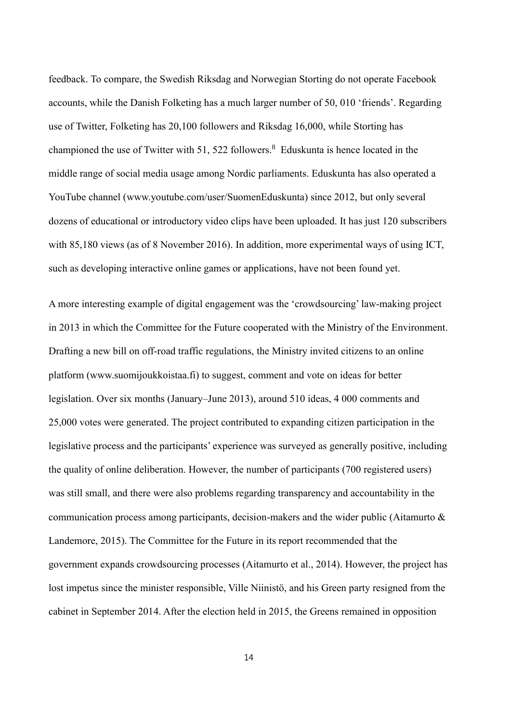feedback. To compare, the Swedish Riksdag and Norwegian Storting do not operate Facebook accounts, while the Danish Folketing has a much larger number of 50, 010 'friends'. Regarding use of Twitter, Folketing has 20,100 followers and Riksdag 16,000, while Storting has championed the use of Twitter with 51, 522 followers.<sup>8</sup> Eduskunta is hence located in the middle range of social media usage among Nordic parliaments. Eduskunta has also operated a YouTube channel (www.youtube.com/user/SuomenEduskunta) since 2012, but only several dozens of educational or introductory video clips have been uploaded. It has just 120 subscribers with 85,180 views (as of 8 November 2016). In addition, more experimental ways of using ICT, such as developing interactive online games or applications, have not been found yet.

A more interesting example of digital engagement was the 'crowdsourcing' law-making project in 2013 in which the Committee for the Future cooperated with the Ministry of the Environment. Drafting a new bill on off-road traffic regulations, the Ministry invited citizens to an online platform (www.suomijoukkoistaa.fi) to suggest, comment and vote on ideas for better legislation. Over six months (January–June 2013), around 510 ideas, 4 000 comments and 25,000 votes were generated. The project contributed to expanding citizen participation in the legislative process and the participants' experience was surveyed as generally positive, including the quality of online deliberation. However, the number of participants (700 registered users) was still small, and there were also problems regarding transparency and accountability in the communication process among participants, decision-makers and the wider public (Aitamurto & Landemore, 2015). The Committee for the Future in its report recommended that the government expands crowdsourcing processes (Aitamurto et al., 2014). However, the project has lost impetus since the minister responsible, Ville Niinistö, and his Green party resigned from the cabinet in September 2014. After the election held in 2015, the Greens remained in opposition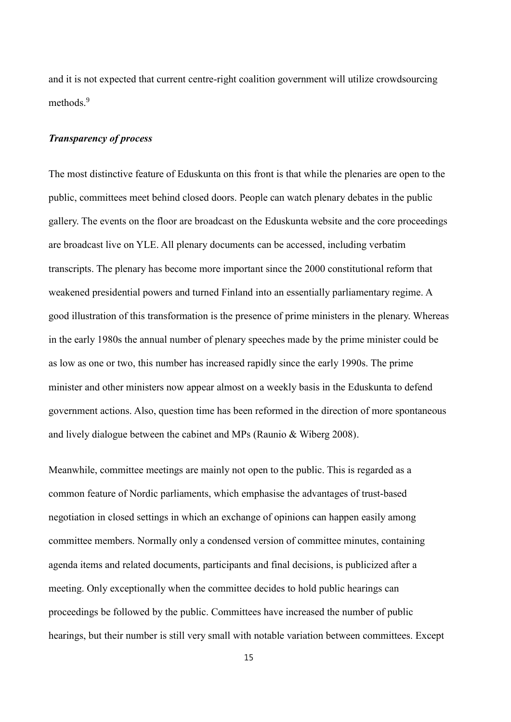and it is not expected that current centre-right coalition government will utilize crowdsourcing methods. 9

### *Transparency of process*

The most distinctive feature of Eduskunta on this front is that while the plenaries are open to the public, committees meet behind closed doors. People can watch plenary debates in the public gallery. The events on the floor are broadcast on the Eduskunta website and the core proceedings are broadcast live on YLE. All plenary documents can be accessed, including verbatim transcripts. The plenary has become more important since the 2000 constitutional reform that weakened presidential powers and turned Finland into an essentially parliamentary regime. A good illustration of this transformation is the presence of prime ministers in the plenary. Whereas in the early 1980s the annual number of plenary speeches made by the prime minister could be as low as one or two, this number has increased rapidly since the early 1990s. The prime minister and other ministers now appear almost on a weekly basis in the Eduskunta to defend government actions. Also, question time has been reformed in the direction of more spontaneous and lively dialogue between the cabinet and MPs (Raunio & Wiberg 2008).

Meanwhile, committee meetings are mainly not open to the public. This is regarded as a common feature of Nordic parliaments, which emphasise the advantages of trust-based negotiation in closed settings in which an exchange of opinions can happen easily among committee members. Normally only a condensed version of committee minutes, containing agenda items and related documents, participants and final decisions, is publicized after a meeting. Only exceptionally when the committee decides to hold public hearings can proceedings be followed by the public. Committees have increased the number of public hearings, but their number is still very small with notable variation between committees. Except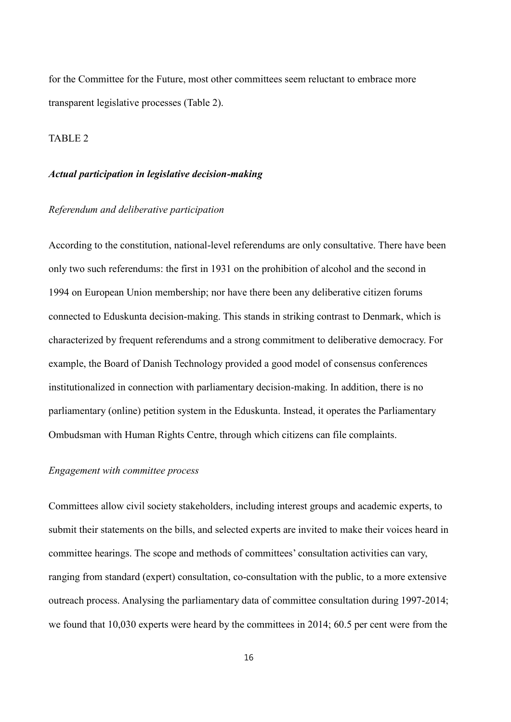for the Committee for the Future, most other committees seem reluctant to embrace more transparent legislative processes (Table 2).

## TABLE 2

## *Actual participation in legislative decision-making*

#### *Referendum and deliberative participation*

According to the constitution, national-level referendums are only consultative. There have been only two such referendums: the first in 1931 on the prohibition of alcohol and the second in 1994 on European Union membership; nor have there been any deliberative citizen forums connected to Eduskunta decision-making. This stands in striking contrast to Denmark, which is characterized by frequent referendums and a strong commitment to deliberative democracy. For example, the Board of Danish Technology provided a good model of consensus conferences institutionalized in connection with parliamentary decision-making. In addition, there is no parliamentary (online) petition system in the Eduskunta. Instead, it operates the Parliamentary Ombudsman with Human Rights Centre, through which citizens can file complaints.

#### *Engagement with committee process*

Committees allow civil society stakeholders, including interest groups and academic experts, to submit their statements on the bills, and selected experts are invited to make their voices heard in committee hearings. The scope and methods of committees' consultation activities can vary, ranging from standard (expert) consultation, co-consultation with the public, to a more extensive outreach process. Analysing the parliamentary data of committee consultation during 1997-2014; we found that 10,030 experts were heard by the committees in 2014; 60.5 per cent were from the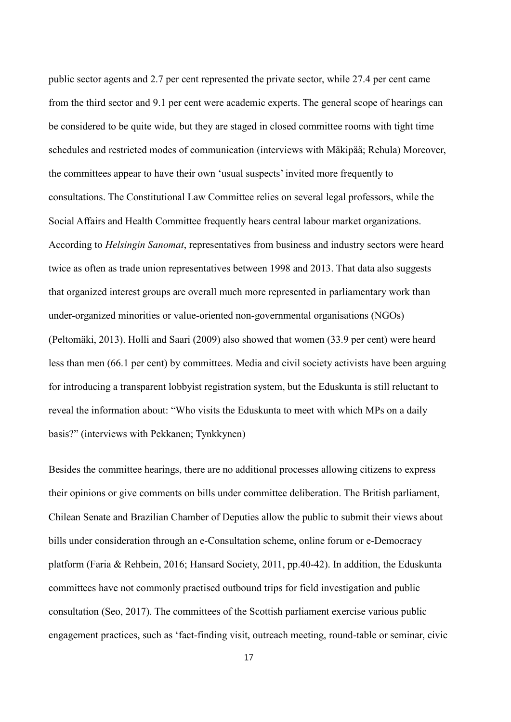public sector agents and 2.7 per cent represented the private sector, while 27.4 per cent came from the third sector and 9.1 per cent were academic experts. The general scope of hearings can be considered to be quite wide, but they are staged in closed committee rooms with tight time schedules and restricted modes of communication (interviews with Mäkipää; Rehula) Moreover, the committees appear to have their own 'usual suspects' invited more frequently to consultations. The Constitutional Law Committee relies on several legal professors, while the Social Affairs and Health Committee frequently hears central labour market organizations. According to *Helsingin Sanomat*, representatives from business and industry sectors were heard twice as often as trade union representatives between 1998 and 2013. That data also suggests that organized interest groups are overall much more represented in parliamentary work than under-organized minorities or value-oriented non-governmental organisations (NGOs) (Peltomäki, 2013). Holli and Saari (2009) also showed that women (33.9 per cent) were heard less than men (66.1 per cent) by committees. Media and civil society activists have been arguing for introducing a transparent lobbyist registration system, but the Eduskunta is still reluctant to reveal the information about: "Who visits the Eduskunta to meet with which MPs on a daily basis?" (interviews with Pekkanen; Tynkkynen)

Besides the committee hearings, there are no additional processes allowing citizens to express their opinions or give comments on bills under committee deliberation. The British parliament, Chilean Senate and Brazilian Chamber of Deputies allow the public to submit their views about bills under consideration through an e-Consultation scheme, online forum or e-Democracy platform (Faria & Rehbein, 2016; Hansard Society, 2011, pp.40-42). In addition, the Eduskunta committees have not commonly practised outbound trips for field investigation and public consultation (Seo, 2017). The committees of the Scottish parliament exercise various public engagement practices, such as 'fact-finding visit, outreach meeting, round-table or seminar, civic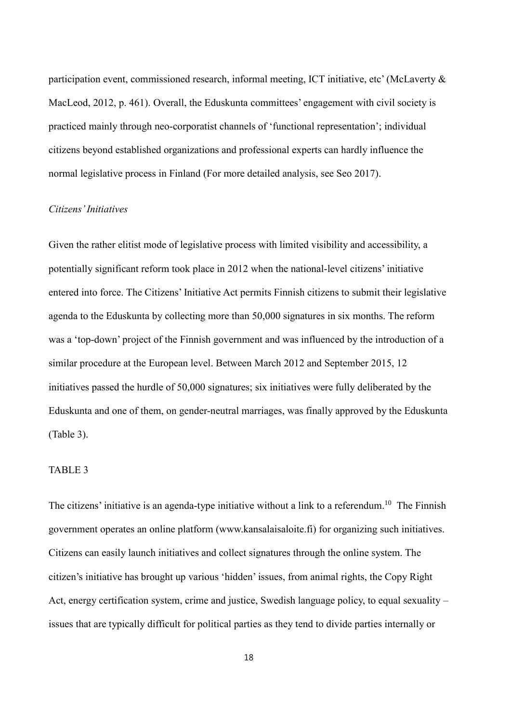participation event, commissioned research, informal meeting, ICT initiative, etc' (McLaverty & MacLeod, 2012, p. 461). Overall, the Eduskunta committees' engagement with civil society is practiced mainly through neo-corporatist channels of 'functional representation'; individual citizens beyond established organizations and professional experts can hardly influence the normal legislative process in Finland (For more detailed analysis, see Seo 2017).

### *Citizens' Initiatives*

Given the rather elitist mode of legislative process with limited visibility and accessibility, a potentially significant reform took place in 2012 when the national-level citizens' initiative entered into force. The Citizens' Initiative Act permits Finnish citizens to submit their legislative agenda to the Eduskunta by collecting more than 50,000 signatures in six months. The reform was a 'top-down' project of the Finnish government and was influenced by the introduction of a similar procedure at the European level. Between March 2012 and September 2015, 12 initiatives passed the hurdle of 50,000 signatures; six initiatives were fully deliberated by the Eduskunta and one of them, on gender-neutral marriages, was finally approved by the Eduskunta (Table 3).

### TABLE 3

The citizens' initiative is an agenda-type initiative without a link to a referendum.<sup>10</sup> The Finnish government operates an online platform (www.kansalaisaloite.fi) for organizing such initiatives. Citizens can easily launch initiatives and collect signatures through the online system. The citizen's initiative has brought up various 'hidden' issues, from animal rights, the Copy Right Act, energy certification system, crime and justice, Swedish language policy, to equal sexuality – issues that are typically difficult for political parties as they tend to divide parties internally or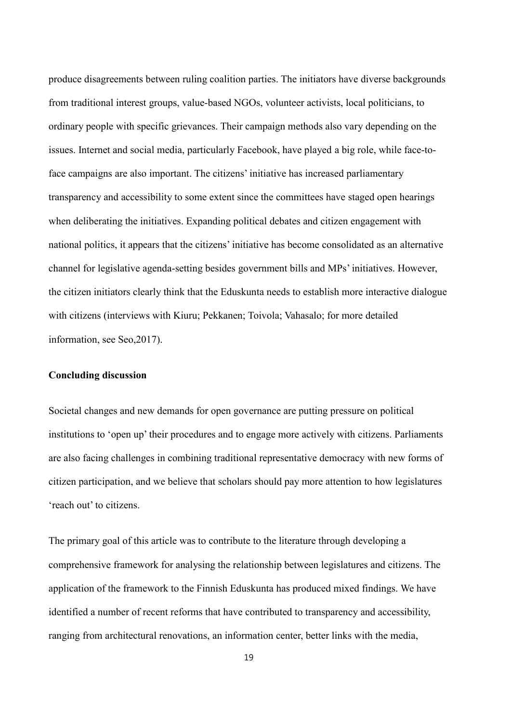produce disagreements between ruling coalition parties. The initiators have diverse backgrounds from traditional interest groups, value-based NGOs, volunteer activists, local politicians, to ordinary people with specific grievances. Their campaign methods also vary depending on the issues. Internet and social media, particularly Facebook, have played a big role, while face-toface campaigns are also important. The citizens' initiative has increased parliamentary transparency and accessibility to some extent since the committees have staged open hearings when deliberating the initiatives. Expanding political debates and citizen engagement with national politics, it appears that the citizens' initiative has become consolidated as an alternative channel for legislative agenda-setting besides government bills and MPs' initiatives. However, the citizen initiators clearly think that the Eduskunta needs to establish more interactive dialogue with citizens (interviews with Kiuru; Pekkanen; Toivola; Vahasalo; for more detailed information, see Seo,2017).

### **Concluding discussion**

Societal changes and new demands for open governance are putting pressure on political institutions to 'open up' their procedures and to engage more actively with citizens. Parliaments are also facing challenges in combining traditional representative democracy with new forms of citizen participation, and we believe that scholars should pay more attention to how legislatures 'reach out' to citizens.

The primary goal of this article was to contribute to the literature through developing a comprehensive framework for analysing the relationship between legislatures and citizens. The application of the framework to the Finnish Eduskunta has produced mixed findings. We have identified a number of recent reforms that have contributed to transparency and accessibility, ranging from architectural renovations, an information center, better links with the media,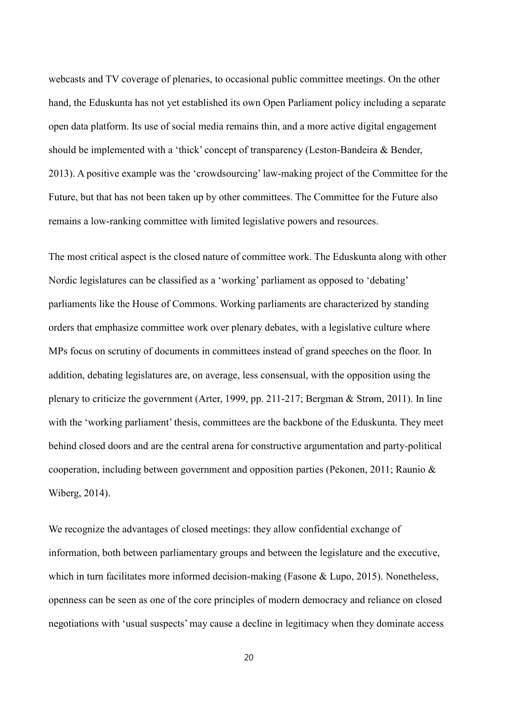webcasts and TV coverage of plenaries, to occasional public committee meetings. On the other hand, the Eduskunta has not yet established its own Open Parliament policy including a separate open data platform. Its use of social media remains thin, and a more active digital engagement should be implemented with a 'thick' concept of transparency (Leston-Bandeira & Bender, 2013). A positive example was the 'crowdsourcing' law-making project of the Committee for the Future, but that has not been taken up by other committees. The Committee for the Future also remains a low-ranking committee with limited legislative powers and resources.

The most critical aspect is the closed nature of committee work. The Eduskunta along with other Nordic legislatures can be classified as a 'working' parliament as opposed to 'debating' parliaments like the House of Commons. Working parliaments are characterized by standing orders that emphasize committee work over plenary debates, with a legislative culture where MPs focus on scrutiny of documents in committees instead of grand speeches on the floor. In addition, debating legislatures are, on average, less consensual, with the opposition using the plenary to criticize the government (Arter, 1999, pp. 211-217; Bergman & Strøm, 2011). In line with the 'working parliament' thesis, committees are the backbone of the Eduskunta. They meet behind closed doors and are the central arena for constructive argumentation and party-political cooperation, including between government and opposition parties (Pekonen, 2011; Raunio & Wiberg, 2014).

We recognize the advantages of closed meetings: they allow confidential exchange of information, both between parliamentary groups and between the legislature and the executive, which in turn facilitates more informed decision-making (Fasone & Lupo, 2015). Nonetheless, openness can be seen as one of the core principles of modern democracy and reliance on closed negotiations with 'usual suspects' may cause a decline in legitimacy when they dominate access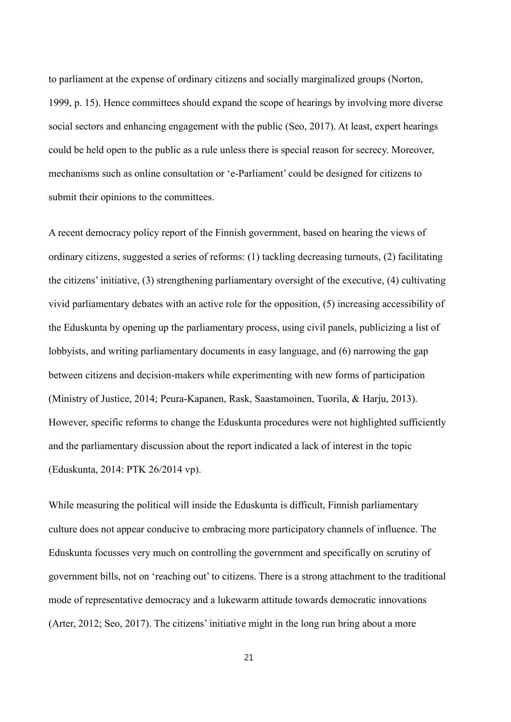to parliament at the expense of ordinary citizens and socially marginalized groups (Norton, 1999, p. 15). Hence committees should expand the scope of hearings by involving more diverse social sectors and enhancing engagement with the public (Seo, 2017). At least, expert hearings could be held open to the public as a rule unless there is special reason for secrecy. Moreover, mechanisms such as online consultation or 'e-Parliament' could be designed for citizens to submit their opinions to the committees.

A recent democracy policy report of the Finnish government, based on hearing the views of ordinary citizens, suggested a series of reforms: (1) tackling decreasing turnouts, (2) facilitating the citizens' initiative, (3) strengthening parliamentary oversight of the executive, (4) cultivating vivid parliamentary debates with an active role for the opposition, (5) increasing accessibility of the Eduskunta by opening up the parliamentary process, using civil panels, publicizing a list of lobbyists, and writing parliamentary documents in easy language, and (6) narrowing the gap between citizens and decision-makers while experimenting with new forms of participation (Ministry of Justice, 2014; Peura-Kapanen, Rask, Saastamoinen, Tuorila, & Harju, 2013). However, specific reforms to change the Eduskunta procedures were not highlighted sufficiently and the parliamentary discussion about the report indicated a lack of interest in the topic (Eduskunta, 2014: PTK 26/2014 vp).

While measuring the political will inside the Eduskunta is difficult, Finnish parliamentary culture does not appear conducive to embracing more participatory channels of influence. The Eduskunta focusses very much on controlling the government and specifically on scrutiny of government bills, not on 'reaching out' to citizens. There is a strong attachment to the traditional mode of representative democracy and a lukewarm attitude towards democratic innovations (Arter, 2012; Seo, 2017). The citizens' initiative might in the long run bring about a more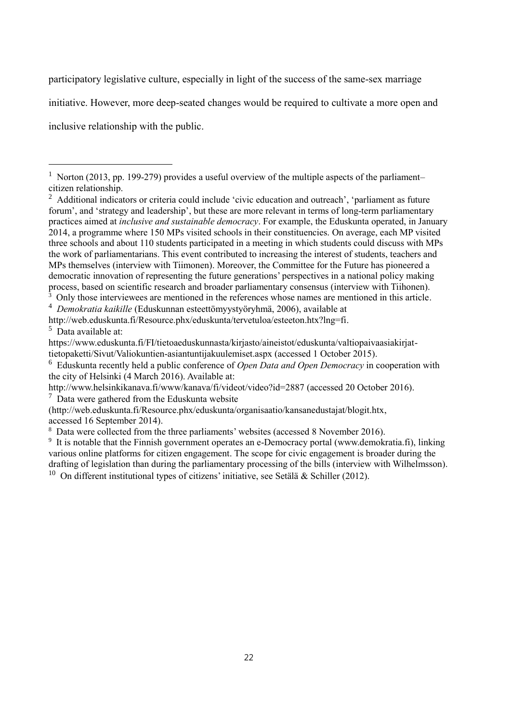participatory legislative culture, especially in light of the success of the same-sex marriage

initiative. However, more deep-seated changes would be required to cultivate a more open and

inclusive relationship with the public.

-

<sup>4</sup> *Demokratia kaikille* (Eduskunnan esteettömyystyöryhmä, 2006), available at

 $7$  Data were gathered from the Eduskunta website

[\(http://web.eduskunta.fi/Resource.phx/eduskunta/organisaatio/kansanedustajat/blogit.htx,](http://web.eduskunta.fi/Resource.phx/eduskunta/organisaatio/kansanedustajat/blogit.htx) accessed 16 September 2014).

<sup>8</sup> Data were collected from the three parliaments' websites (accessed 8 November 2016).

<sup>&</sup>lt;sup>1</sup> Norton (2013, pp. 199-279) provides a useful overview of the multiple aspects of the parliament– citizen relationship.

<sup>&</sup>lt;sup>2</sup> Additional indicators or criteria could include 'civic education and outreach', 'parliament as future forum', and 'strategy and leadership', but these are more relevant in terms of long-term parliamentary practices aimed at *inclusive and sustainable democracy*. For example, the Eduskunta operated, in January 2014, a programme where 150 MPs visited schools in their constituencies. On average, each MP visited three schools and about 110 students participated in a meeting in which students could discuss with MPs the work of parliamentarians. This event contributed to increasing the interest of students, teachers and MPs themselves (interview with Tiimonen). Moreover, the Committee for the Future has pioneered a democratic innovation of representing the future generations' perspectives in a national policy making process, based on scientific research and broader parliamentary consensus (interview with Tiihonen). <sup>3</sup> Only those interviewees are mentioned in the references whose names are mentioned in this article.

http://web.eduskunta.fi/Resource.phx/eduskunta/tervetuloa/esteeton.htx?lng=fi. <sup>5</sup> Data available at:

https://www.eduskunta.fi/FI/tietoaeduskunnasta/kirjasto/aineistot/eduskunta/valtiopaivaasiakirjattietopaketti/Sivut/Valiokuntien-asiantuntijakuulemiset.aspx (accessed 1 October 2015).

<sup>6</sup> Eduskunta recently held a public conference of *Open Data and Open Democracy* in cooperation with the city of Helsinki (4 March 2016). Available at:

<http://www.helsinkikanava.fi/www/kanava/fi/videot/video?id=2887> (accessed 20 October 2016).

<sup>&</sup>lt;sup>9</sup> It is notable that the Finnish government operates an e-Democracy portal (www.demokratia.fi), linking various online platforms for citizen engagement. The scope for civic engagement is broader during the drafting of legislation than during the parliamentary processing of the bills (interview with Wilhelmsson). <sup>10</sup> On different institutional types of citizens' initiative, see Setälä & Schiller (2012).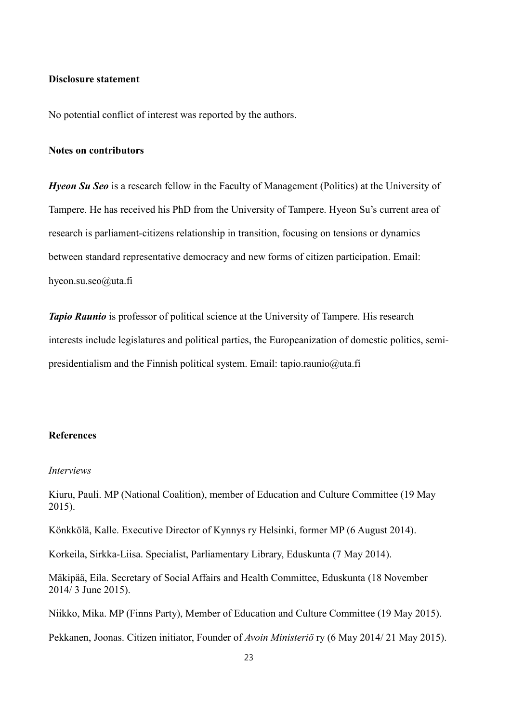#### **Disclosure statement**

No potential conflict of interest was reported by the authors.

### **Notes on contributors**

*Hyeon Su Seo* is a research fellow in the Faculty of Management (Politics) at the University of Tampere. He has received his PhD from the University of Tampere. Hyeon Su's current area of research is parliament-citizens relationship in transition, focusing on tensions or dynamics between standard representative democracy and new forms of citizen participation. Email: hyeon.su.seo@uta.fi

*Tapio Raunio* is professor of political science at the University of Tampere. His research interests include legislatures and political parties, the Europeanization of domestic politics, semipresidentialism and the Finnish political system. Email: tapio.raunio@uta.fi

#### **References**

#### *Interviews*

Kiuru, Pauli. MP (National Coalition), member of Education and Culture Committee (19 May 2015).

Könkkölä, Kalle. Executive Director of Kynnys ry Helsinki, former MP (6 August 2014).

Korkeila, Sirkka-Liisa. Specialist, Parliamentary Library, Eduskunta (7 May 2014).

Mäkipää, Eila. Secretary of Social Affairs and Health Committee, Eduskunta (18 November 2014/ 3 June 2015).

Niikko, Mika. MP (Finns Party), Member of Education and Culture Committee (19 May 2015).

Pekkanen, Joonas. Citizen initiator, Founder of *Avoin Ministeriö* ry (6 May 2014/ 21 May 2015).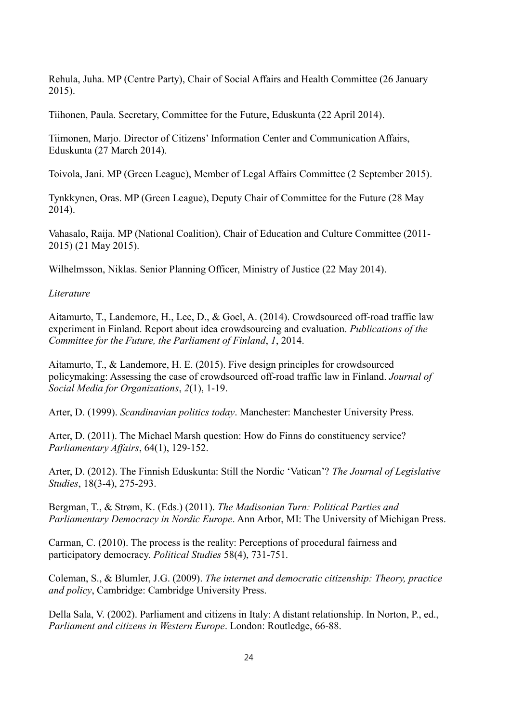Rehula, Juha. MP (Centre Party), Chair of Social Affairs and Health Committee (26 January 2015).

Tiihonen, Paula. Secretary, Committee for the Future, Eduskunta (22 April 2014).

Tiimonen, Marjo. Director of Citizens' Information Center and Communication Affairs, Eduskunta (27 March 2014).

Toivola, Jani. MP (Green League), Member of Legal Affairs Committee (2 September 2015).

Tynkkynen, Oras. MP (Green League), Deputy Chair of Committee for the Future (28 May 2014).

Vahasalo, Raija. MP (National Coalition), Chair of Education and Culture Committee (2011- 2015) (21 May 2015).

Wilhelmsson, Niklas. Senior Planning Officer, Ministry of Justice (22 May 2014).

*Literature*

Aitamurto, T., Landemore, H., Lee, D., & Goel, A. (2014). Crowdsourced off-road traffic law experiment in Finland. Report about idea crowdsourcing and evaluation. *Publications of the Committee for the Future, the Parliament of Finland*, *1*, 2014.

Aitamurto, T., & Landemore, H. E. (2015). Five design principles for crowdsourced policymaking: Assessing the case of crowdsourced off-road traffic law in Finland. *Journal of Social Media for Organizations*, *2*(1), 1-19.

Arter, D. (1999). *Scandinavian politics today*. Manchester: Manchester University Press.

Arter, D. (2011). The Michael Marsh question: How do Finns do constituency service? *Parliamentary Affairs*, 64(1), 129-152.

Arter, D. (2012). The Finnish Eduskunta: Still the Nordic 'Vatican'? *The Journal of Legislative Studies*, 18(3-4), 275-293.

Bergman, T., & Strøm, K. (Eds.) (2011). *The Madisonian Turn: Political Parties and Parliamentary Democracy in Nordic Europe*. Ann Arbor, MI: The University of Michigan Press.

Carman, C. (2010). The process is the reality: Perceptions of procedural fairness and participatory democracy. *Political Studies* 58(4), 731-751.

Coleman, S., & Blumler, J.G. (2009). *The internet and democratic citizenship: Theory, practice and policy*, Cambridge: Cambridge University Press.

Della Sala, V. (2002). Parliament and citizens in Italy: A distant relationship. In Norton, P., ed., *Parliament and citizens in Western Europe*. London: Routledge, 66-88.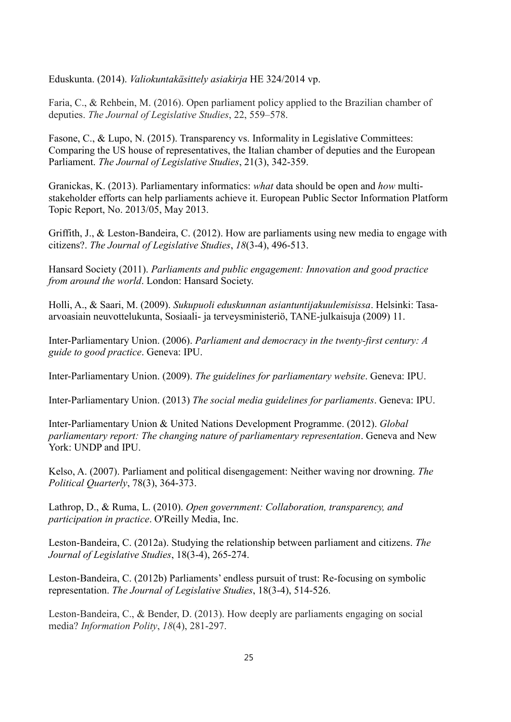Eduskunta. (2014). *Valiokuntakäsittely asiakirja* HE 324/2014 vp.

Faria, C., & Rehbein, M. (2016). Open parliament policy applied to the Brazilian chamber of deputies. *The Journal of Legislative Studies*, 22, 559–578.

Fasone, C., & Lupo, N. (2015). Transparency vs. Informality in Legislative Committees: Comparing the US house of representatives, the Italian chamber of deputies and the European Parliament. *The Journal of Legislative Studies*, 21(3), 342-359.

Granickas, K. (2013). Parliamentary informatics: *what* data should be open and *how* multistakeholder efforts can help parliaments achieve it. European Public Sector Information Platform Topic Report, No. 2013/05, May 2013.

Griffith, J., & Leston-Bandeira, C. (2012). How are parliaments using new media to engage with citizens?. *The Journal of Legislative Studies*, *18*(3-4), 496-513.

Hansard Society (2011). *Parliaments and public engagement: Innovation and good practice from around the world*. London: Hansard Society.

Holli, A., & Saari, M. (2009). *Sukupuoli eduskunnan asiantuntijakuulemisissa*. Helsinki: Tasaarvoasiain neuvottelukunta, Sosiaali- ja terveysministeriö, TANE-julkaisuja (2009) 11.

Inter-Parliamentary Union. (2006). *Parliament and democracy in the twenty-first century: A guide to good practice*. Geneva: IPU.

Inter-Parliamentary Union. (2009). *The guidelines for parliamentary website*. Geneva: IPU.

Inter-Parliamentary Union. (2013) *The social media guidelines for parliaments*. Geneva: IPU.

Inter-Parliamentary Union & United Nations Development Programme. (2012). *Global parliamentary report: The changing nature of parliamentary representation*. Geneva and New York: UNDP and IPU.

Kelso, A. (2007). Parliament and political disengagement: Neither waving nor drowning. *The Political Quarterly*, 78(3), 364-373.

Lathrop, D., & Ruma, L. (2010). *Open government: Collaboration, transparency, and participation in practice*. O'Reilly Media, Inc.

Leston-Bandeira, C. (2012a). Studying the relationship between parliament and citizens. *The Journal of Legislative Studies*, 18(3-4), 265-274.

Leston-Bandeira, C. (2012b) Parliaments' endless pursuit of trust: Re-focusing on symbolic representation. *The Journal of Legislative Studies*, 18(3-4), 514-526.

Leston-Bandeira, C., & Bender, D. (2013). How deeply are parliaments engaging on social media? *Information Polity*, *18*(4), 281-297.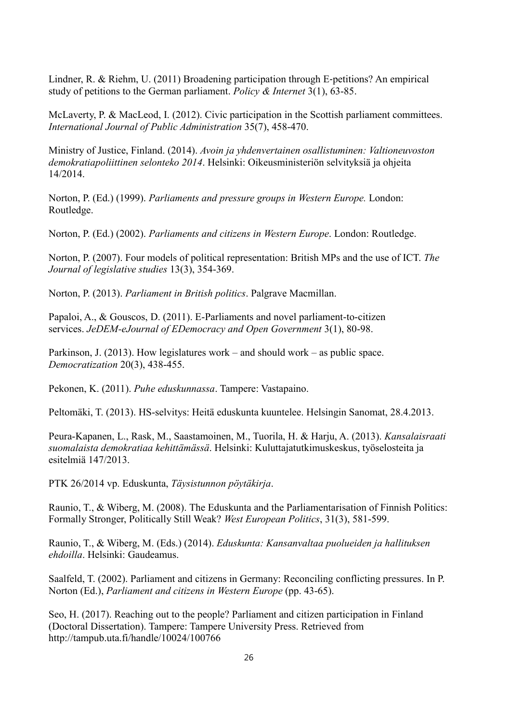Lindner, R. & Riehm, U. (2011) Broadening participation through E‐petitions? An empirical study of petitions to the German parliament. *Policy & Internet* 3(1), 63-85.

McLaverty, P. & MacLeod, I. (2012). Civic participation in the Scottish parliament committees. *International Journal of Public Administration* 35(7), 458-470.

Ministry of Justice, Finland. (2014). *Avoin ja yhdenvertainen osallistuminen: Valtioneuvoston demokratiapoliittinen selonteko 2014*. Helsinki: Oikeusministeriön selvityksiä ja ohjeita 14/2014.

Norton, P. (Ed.) (1999). *Parliaments and pressure groups in Western Europe.* London: Routledge.

Norton, P. (Ed.) (2002). *Parliaments and citizens in Western Europe*. London: Routledge.

Norton, P. (2007). Four models of political representation: British MPs and the use of ICT. *The Journal of legislative studies* 13(3), 354-369.

Norton, P. (2013). *Parliament in British politics*. Palgrave Macmillan.

Papaloi, A., & Gouscos, D. (2011). E-Parliaments and novel parliament-to-citizen services. *JeDEM-eJournal of EDemocracy and Open Government* 3(1), 80-98.

Parkinson, J. (2013). How legislatures work – and should work – as public space. *Democratization* 20(3), 438-455.

Pekonen, K. (2011). *Puhe eduskunnassa*. Tampere: Vastapaino.

Peltomäki, T. (2013). HS-selvitys: Heitä eduskunta kuuntelee. Helsingin Sanomat, 28.4.2013.

Peura-Kapanen, L., Rask, M., Saastamoinen, M., Tuorila, H. & Harju, A. (2013). *Kansalaisraati suomalaista demokratiaa kehittämässä*. Helsinki: Kuluttajatutkimuskeskus, työselosteita ja esitelmiä 147/2013.

PTK 26/2014 vp. Eduskunta, *Täysistunnon pöytäkirja*.

Raunio, T., & Wiberg, M. (2008). The Eduskunta and the Parliamentarisation of Finnish Politics: Formally Stronger, Politically Still Weak? *West European Politics*, 31(3), 581-599.

Raunio, T., & Wiberg, M. (Eds.) (2014). *Eduskunta: Kansanvaltaa puolueiden ja hallituksen ehdoilla*. Helsinki: Gaudeamus.

Saalfeld, T. (2002). Parliament and citizens in Germany: Reconciling conflicting pressures. In P. Norton (Ed.), *Parliament and citizens in Western Europe* (pp. 43-65).

Seo, H. (2017). Reaching out to the people? Parliament and citizen participation in Finland (Doctoral Dissertation). Tampere: Tampere University Press. Retrieved from http://tampub.uta.fi/handle/10024/100766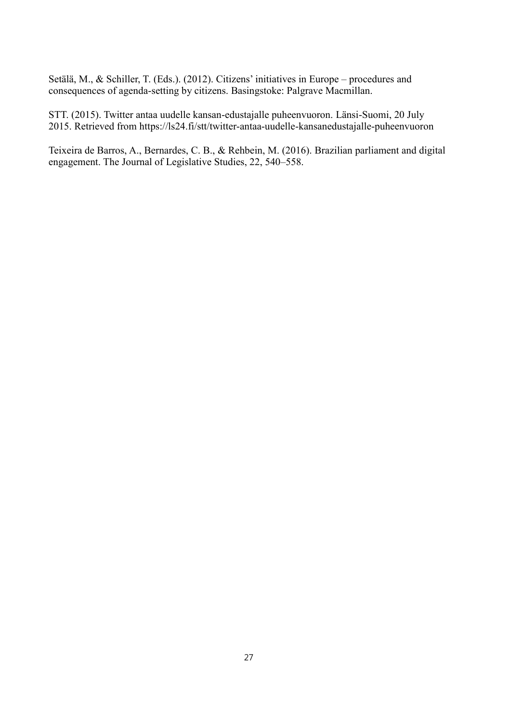Setälä, M., & Schiller, T. (Eds.). (2012). Citizens' initiatives in Europe – procedures and consequences of agenda-setting by citizens. Basingstoke: Palgrave Macmillan.

STT. (2015). Twitter antaa uudelle kansan-edustajalle puheenvuoron. Länsi-Suomi, 20 July 2015. Retrieved from https://ls24.fi/stt/twitter-antaa-uudelle-kansanedustajalle-puheenvuoron

Teixeira de Barros, A., Bernardes, C. B., & Rehbein, M. (2016). Brazilian parliament and digital engagement. The Journal of Legislative Studies, 22, 540–558.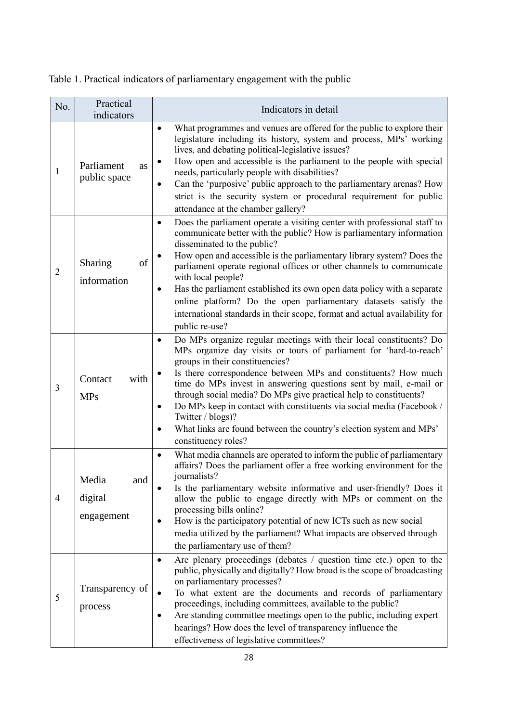Table 1. Practical indicators of parliamentary engagement with the public

| No.            | Practical<br>indicators               | Indicators in detail                                                                                                                                                                                                                                                                                                                                                                                                                                                                                                                                                                                                           |  |  |  |
|----------------|---------------------------------------|--------------------------------------------------------------------------------------------------------------------------------------------------------------------------------------------------------------------------------------------------------------------------------------------------------------------------------------------------------------------------------------------------------------------------------------------------------------------------------------------------------------------------------------------------------------------------------------------------------------------------------|--|--|--|
| $\mathbf{1}$   | Parliament<br>as<br>public space      | What programmes and venues are offered for the public to explore their<br>$\bullet$<br>legislature including its history, system and process, MPs' working<br>lives, and debating political-legislative issues?<br>How open and accessible is the parliament to the people with special<br>needs, particularly people with disabilities?<br>Can the 'purposive' public approach to the parliamentary arenas? How<br>$\bullet$<br>strict is the security system or procedural requirement for public<br>attendance at the chamber gallery?                                                                                      |  |  |  |
| $\overline{2}$ | Sharing<br>of<br>information          | Does the parliament operate a visiting center with professional staff to<br>$\bullet$<br>communicate better with the public? How is parliamentary information<br>disseminated to the public?<br>How open and accessible is the parliamentary library system? Does the<br>parliament operate regional offices or other channels to communicate<br>with local people?<br>Has the parliament established its own open data policy with a separate<br>$\bullet$<br>online platform? Do the open parliamentary datasets satisfy the<br>international standards in their scope, format and actual availability for<br>public re-use? |  |  |  |
| $\overline{3}$ | with<br>Contact<br><b>MPs</b>         | Do MPs organize regular meetings with their local constituents? Do<br>$\bullet$<br>MPs organize day visits or tours of parliament for 'hard-to-reach'<br>groups in their constituencies?<br>Is there correspondence between MPs and constituents? How much<br>time do MPs invest in answering questions sent by mail, e-mail or<br>through social media? Do MPs give practical help to constituents?<br>Do MPs keep in contact with constituents via social media (Facebook /<br>$\bullet$<br>Twitter / blogs)?<br>What links are found between the country's election system and MPs'<br>$\bullet$<br>constituency roles?     |  |  |  |
| $\overline{4}$ | Media<br>and<br>digital<br>engagement | What media channels are operated to inform the public of parliamentary<br>$\bullet$<br>affairs? Does the parliament offer a free working environment for the<br>journalists?<br>Is the parliamentary website informative and user-friendly? Does it<br>allow the public to engage directly with MPs or comment on the<br>processing bills online?<br>How is the participatory potential of new ICTs such as new social<br>٠<br>media utilized by the parliament? What impacts are observed through<br>the parliamentary use of them?                                                                                           |  |  |  |
| 5              | Transparency of<br>process            | Are plenary proceedings (debates / question time etc.) open to the<br>٠<br>public, physically and digitally? How broad is the scope of broadcasting<br>on parliamentary processes?<br>To what extent are the documents and records of parliamentary<br>proceedings, including committees, available to the public?<br>Are standing committee meetings open to the public, including expert<br>٠<br>hearings? How does the level of transparency influence the<br>effectiveness of legislative committees?                                                                                                                      |  |  |  |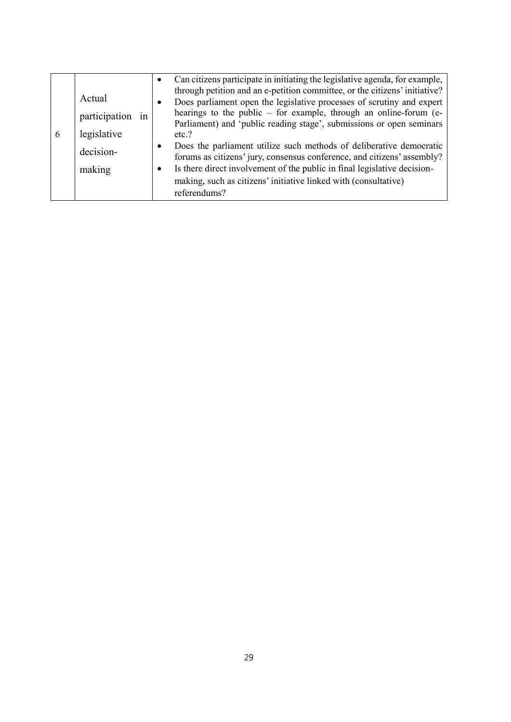| 6 | Actual              | Can citizens participate in initiating the legislative agenda, for example,<br>through petition and an e-petition committee, or the citizens' initiative?<br>Does parliament open the legislative processes of scrutiny and expert<br>$\bullet$ |
|---|---------------------|-------------------------------------------------------------------------------------------------------------------------------------------------------------------------------------------------------------------------------------------------|
|   | participation<br>1n | hearings to the public - for example, through an online-forum (e-<br>Parliament) and 'public reading stage', submissions or open seminars                                                                                                       |
|   | legislative         | etc.?                                                                                                                                                                                                                                           |
|   | decision-           | Does the parliament utilize such methods of deliberative democratic<br>$\bullet$<br>forums as citizens' jury, consensus conference, and citizens' assembly?                                                                                     |
|   | making              | Is there direct involvement of the public in final legislative decision-<br>$\bullet$                                                                                                                                                           |
|   |                     | making, such as citizens' initiative linked with (consultative)                                                                                                                                                                                 |
|   |                     | referendums?                                                                                                                                                                                                                                    |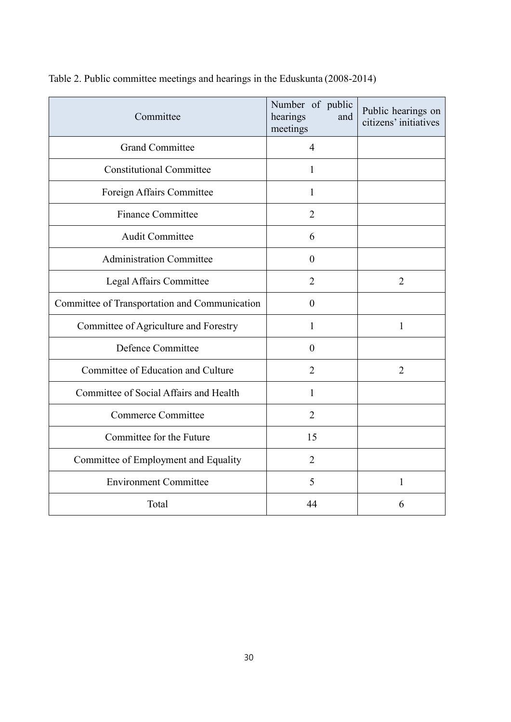| Committee                                     | Number of public<br>hearings<br>and<br>meetings | Public hearings on<br>citizens' initiatives |  |
|-----------------------------------------------|-------------------------------------------------|---------------------------------------------|--|
| <b>Grand Committee</b>                        | $\overline{4}$                                  |                                             |  |
| <b>Constitutional Committee</b>               | 1                                               |                                             |  |
| Foreign Affairs Committee                     | 1                                               |                                             |  |
| <b>Finance Committee</b>                      | $\overline{2}$                                  |                                             |  |
| <b>Audit Committee</b>                        | 6                                               |                                             |  |
| <b>Administration Committee</b>               | $\overline{0}$                                  |                                             |  |
| Legal Affairs Committee                       | $\overline{2}$                                  | $\overline{2}$                              |  |
| Committee of Transportation and Communication | $\theta$                                        |                                             |  |
| Committee of Agriculture and Forestry         | 1                                               | $\mathbf{1}$                                |  |
| Defence Committee                             | $\overline{0}$                                  |                                             |  |
| Committee of Education and Culture            | $\overline{2}$                                  | $\overline{2}$                              |  |
| Committee of Social Affairs and Health        | $\mathbf{1}$                                    |                                             |  |
| <b>Commerce Committee</b>                     | $\overline{2}$                                  |                                             |  |
| Committee for the Future                      | 15                                              |                                             |  |
| Committee of Employment and Equality          | $\overline{2}$                                  |                                             |  |
| <b>Environment Committee</b>                  | 5                                               | 1                                           |  |
| Total                                         | 44                                              | 6                                           |  |

Table 2. Public committee meetings and hearings in the Eduskunta (2008-2014)